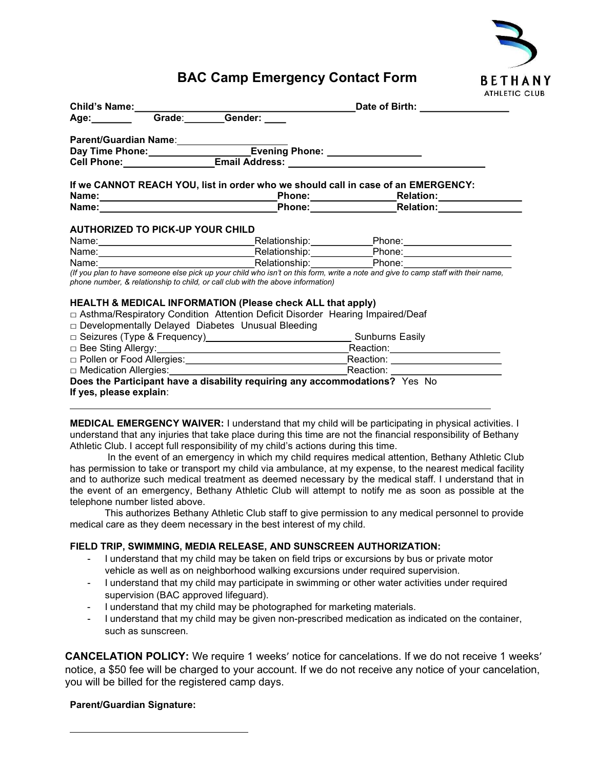

## BAC Camp Emergency Contact Form

|  |  |                                                                                 |  | If we CANNOT REACH YOU, list in order who we should call in case of an EMERGENCY:                                                 |  |  |  |
|--|--|---------------------------------------------------------------------------------|--|-----------------------------------------------------------------------------------------------------------------------------------|--|--|--|
|  |  |                                                                                 |  |                                                                                                                                   |  |  |  |
|  |  |                                                                                 |  | Name: Name: Name: Name: Name: Nelation: Name: Nelation: Nelation: Nelation: Nelation: Nelation: Nel                               |  |  |  |
|  |  | phone number, & relationship to child, or call club with the above information) |  | (If you plan to have someone else pick up your child who isn't on this form, write a note and give to camp staff with their name, |  |  |  |
|  |  | <b>HEALTH &amp; MEDICAL INFORMATION (Please check ALL that apply)</b>           |  |                                                                                                                                   |  |  |  |
|  |  |                                                                                 |  | □ Asthma/Respiratory Condition Attention Deficit Disorder Hearing Impaired/Deaf                                                   |  |  |  |
|  |  | □ Developmentally Delayed Diabetes Unusual Bleeding                             |  |                                                                                                                                   |  |  |  |
|  |  |                                                                                 |  |                                                                                                                                   |  |  |  |
|  |  |                                                                                 |  |                                                                                                                                   |  |  |  |
|  |  |                                                                                 |  |                                                                                                                                   |  |  |  |
|  |  |                                                                                 |  |                                                                                                                                   |  |  |  |
|  |  |                                                                                 |  | Does the Participant have a disability requiring any accommodations? Yes No                                                       |  |  |  |

If yes, please explain:

MEDICAL EMERGENCY WAIVER: I understand that my child will be participating in physical activities. I understand that any injuries that take place during this time are not the financial responsibility of Bethany Athletic Club. I accept full responsibility of my child's actions during this time.

In the event of an emergency in which my child requires medical attention, Bethany Athletic Club has permission to take or transport my child via ambulance, at my expense, to the nearest medical facility and to authorize such medical treatment as deemed necessary by the medical staff. I understand that in the event of an emergency, Bethany Athletic Club will attempt to notify me as soon as possible at the telephone number listed above.

This authorizes Bethany Athletic Club staff to give permission to any medical personnel to provide medical care as they deem necessary in the best interest of my child.

## FIELD TRIP, SWIMMING, MEDIA RELEASE, AND SUNSCREEN AUTHORIZATION:

- I understand that my child may be taken on field trips or excursions by bus or private motor vehicle as well as on neighborhood walking excursions under required supervision.
- I understand that my child may participate in swimming or other water activities under required supervision (BAC approved lifeguard).
- I understand that my child may be photographed for marketing materials.
- I understand that my child may be given non-prescribed medication as indicated on the container, such as sunscreen.

CANCELATION POLICY: We require 1 weeks' notice for cancelations. If we do not receive 1 weeks' notice, a \$50 fee will be charged to your account. If we do not receive any notice of your cancelation, you will be billed for the registered camp days.

## Parent/Guardian Signature: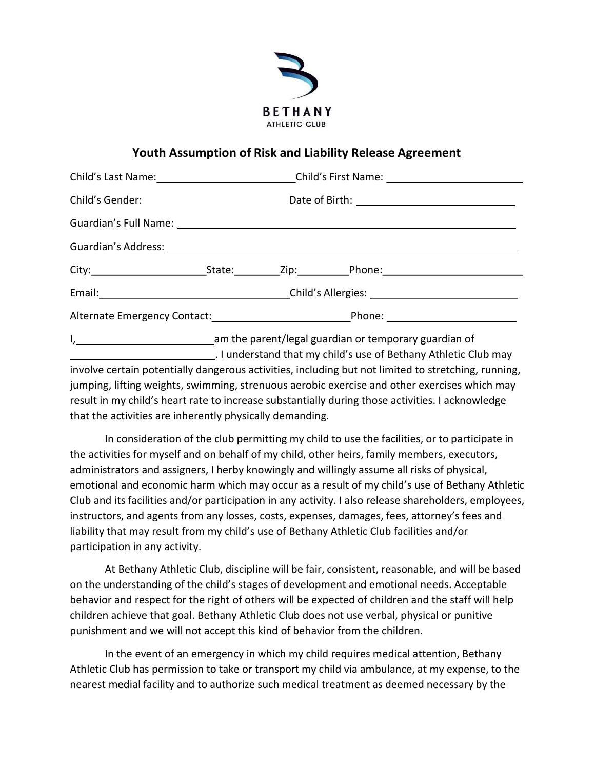

## Youth Assumption of Risk and Liability Release Agreement

|                                                                                 |                                                        |  | Child's Last Name: ___________________________Child's First Name: _______________ |  |  |  |
|---------------------------------------------------------------------------------|--------------------------------------------------------|--|-----------------------------------------------------------------------------------|--|--|--|
| Child's Gender:                                                                 |                                                        |  |                                                                                   |  |  |  |
|                                                                                 |                                                        |  |                                                                                   |  |  |  |
|                                                                                 |                                                        |  |                                                                                   |  |  |  |
|                                                                                 |                                                        |  |                                                                                   |  |  |  |
|                                                                                 |                                                        |  |                                                                                   |  |  |  |
|                                                                                 |                                                        |  |                                                                                   |  |  |  |
| The contract of the contract of the contract of the contract of the contract of | am the parent (legal quardian or temperary quardian of |  |                                                                                   |  |  |  |

I, 1, 1, 2008) The same state of the parent/legal guardian or temporary guardian of . I understand that my child's use of Bethany Athletic Club may involve certain potentially dangerous activities, including but not limited to stretching, running, jumping, lifting weights, swimming, strenuous aerobic exercise and other exercises which may result in my child's heart rate to increase substantially during those activities. I acknowledge that the activities are inherently physically demanding.

In consideration of the club permitting my child to use the facilities, or to participate in the activities for myself and on behalf of my child, other heirs, family members, executors, administrators and assigners, I herby knowingly and willingly assume all risks of physical, emotional and economic harm which may occur as a result of my child's use of Bethany Athletic Club and its facilities and/or participation in any activity. I also release shareholders, employees, instructors, and agents from any losses, costs, expenses, damages, fees, attorney's fees and liability that may result from my child's use of Bethany Athletic Club facilities and/or participation in any activity.

At Bethany Athletic Club, discipline will be fair, consistent, reasonable, and will be based on the understanding of the child's stages of development and emotional needs. Acceptable behavior and respect for the right of others will be expected of children and the staff will help children achieve that goal. Bethany Athletic Club does not use verbal, physical or punitive punishment and we will not accept this kind of behavior from the children.

In the event of an emergency in which my child requires medical attention, Bethany Athletic Club has permission to take or transport my child via ambulance, at my expense, to the nearest medial facility and to authorize such medical treatment as deemed necessary by the